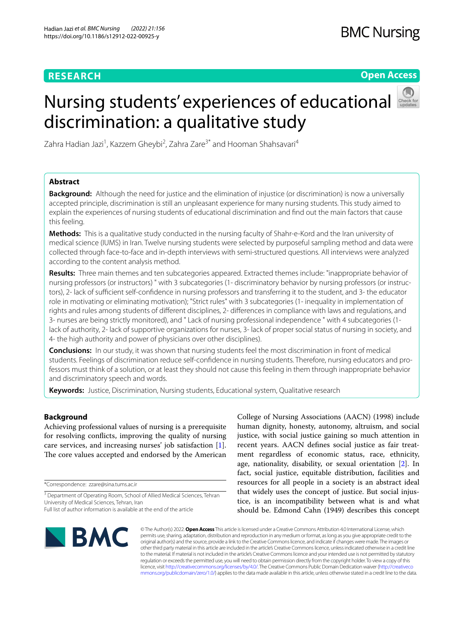# **RESEARCH**

# **Open Access**

# Nursing students' experiences of educational discrimination: a qualitative study



Zahra Hadian Jazi<sup>1</sup>, Kazzem Gheybi<sup>2</sup>, Zahra Zare<sup>3\*</sup> and Hooman Shahsavari<sup>4</sup>

# **Abstract**

**Background:** Although the need for justice and the elimination of injustice (or discrimination) is now a universally accepted principle, discrimination is still an unpleasant experience for many nursing students. This study aimed to explain the experiences of nursing students of educational discrimination and fnd out the main factors that cause this feeling.

**Methods:** This is a qualitative study conducted in the nursing faculty of Shahr-e-Kord and the Iran university of medical science (IUMS) in Iran. Twelve nursing students were selected by purposeful sampling method and data were collected through face-to-face and in-depth interviews with semi-structured questions. All interviews were analyzed according to the content analysis method.

**Results:** Three main themes and ten subcategories appeared. Extracted themes include: "inappropriate behavior of nursing professors (or instructors) " with 3 subcategories (1- discriminatory behavior by nursing professors (or instructors), 2- lack of sufficient self-confidence in nursing professors and transferring it to the student, and 3- the educator role in motivating or eliminating motivation); "Strict rules" with 3 subcategories (1- inequality in implementation of rights and rules among students of diferent disciplines, 2- diferences in compliance with laws and regulations, and 3- nurses are being strictly monitored), and " Lack of nursing professional independence " with 4 subcategories (1 lack of authority, 2- lack of supportive organizations for nurses, 3- lack of proper social status of nursing in society, and 4- the high authority and power of physicians over other disciplines).

**Conclusions:** In our study, it was shown that nursing students feel the most discrimination in front of medical students. Feelings of discrimination reduce self-confdence in nursing students. Therefore, nursing educators and professors must think of a solution, or at least they should not cause this feeling in them through inappropriate behavior and discriminatory speech and words.

**Keywords:** Justice, Discrimination, Nursing students, Educational system, Qualitative research

# **Background**

Achieving professional values of nursing is a prerequisite for resolving conficts, improving the quality of nursing care services, and increasing nurses' job satisfaction [\[1](#page-6-0)]. The core values accepted and endorsed by the American

\*Correspondence: zzare@sina.tums.ac.ir

College of Nursing Associations (AACN) (1998) include human dignity, honesty, autonomy, altruism, and social justice, with social justice gaining so much attention in recent years. AACN defnes social justice as fair treatment regardless of economic status, race, ethnicity, age, nationality, disability, or sexual orientation [[2\]](#page-6-1). In fact, social justice, equitable distribution, facilities and resources for all people in a society is an abstract ideal that widely uses the concept of justice. But social injustice, is an incompatibility between what is and what should be. Edmond Cahn (1949) describes this concept



© The Author(s) 2022. **Open Access** This article is licensed under a Creative Commons Attribution 4.0 International License, which permits use, sharing, adaptation, distribution and reproduction in any medium or format, as long as you give appropriate credit to the original author(s) and the source, provide a link to the Creative Commons licence, and indicate if changes were made. The images or other third party material in this article are included in the article's Creative Commons licence, unless indicated otherwise in a credit line to the material. If material is not included in the article's Creative Commons licence and your intended use is not permitted by statutory regulation or exceeds the permitted use, you will need to obtain permission directly from the copyright holder. To view a copy of this licence, visit [http://creativecommons.org/licenses/by/4.0/.](http://creativecommons.org/licenses/by/4.0/) The Creative Commons Public Domain Dedication waiver ([http://creativeco](http://creativecommons.org/publicdomain/zero/1.0/) [mmons.org/publicdomain/zero/1.0/](http://creativecommons.org/publicdomain/zero/1.0/)) applies to the data made available in this article, unless otherwise stated in a credit line to the data.

<sup>&</sup>lt;sup>3</sup> Department of Operating Room, School of Allied Medical Sciences, Tehran University of Medical Sciences, Tehran, Iran Full list of author information is available at the end of the article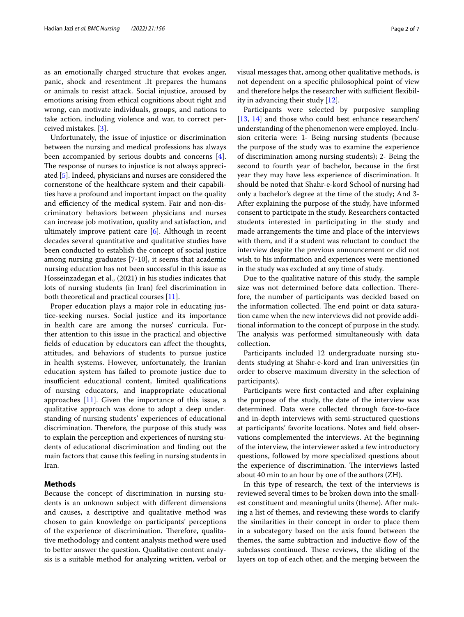as an emotionally charged structure that evokes anger, panic, shock and resentment .It prepares the humans or animals to resist attack. Social injustice, aroused by emotions arising from ethical cognitions about right and wrong, can motivate individuals, groups, and nations to take action, including violence and war, to correct perceived mistakes. [\[3](#page-6-2)].

Unfortunately, the issue of injustice or discrimination between the nursing and medical professions has always been accompanied by serious doubts and concerns [\[4](#page-6-3)]. The response of nurses to injustice is not always appreciated [[5](#page-6-4)]. Indeed, physicians and nurses are considered the cornerstone of the healthcare system and their capabilities have a profound and important impact on the quality and efficiency of the medical system. Fair and non-discriminatory behaviors between physicians and nurses can increase job motivation, quality and satisfaction, and ultimately improve patient care  $[6]$ . Although in recent decades several quantitative and qualitative studies have been conducted to establish the concept of social justice among nursing graduates [7-10], it seems that academic nursing education has not been successful in this issue as Hosseinzadegan et al., (2021) in his studies indicates that lots of nursing students (in Iran) feel discrimination in both theoretical and practical courses [[11\]](#page-6-6).

Proper education plays a major role in educating justice-seeking nurses. Social justice and its importance in health care are among the nurses' curricula. Further attention to this issue in the practical and objective felds of education by educators can afect the thoughts, attitudes, and behaviors of students to pursue justice in health systems. However, unfortunately, the Iranian education system has failed to promote justice due to insufficient educational content, limited qualifications of nursing educators, and inappropriate educational approaches [[11](#page-6-6)]. Given the importance of this issue, a qualitative approach was done to adopt a deep understanding of nursing students' experiences of educational discrimination. Therefore, the purpose of this study was to explain the perception and experiences of nursing students of educational discrimination and fnding out the main factors that cause this feeling in nursing students in Iran.

# **Methods**

Because the concept of discrimination in nursing students is an unknown subject with diferent dimensions and causes, a descriptive and qualitative method was chosen to gain knowledge on participants' perceptions of the experience of discrimination. Therefore, qualitative methodology and content analysis method were used to better answer the question. Qualitative content analysis is a suitable method for analyzing written, verbal or visual messages that, among other qualitative methods, is not dependent on a specifc philosophical point of view and therefore helps the researcher with sufficient flexibility in advancing their study [[12\]](#page-6-7).

Participants were selected by purposive sampling [[13,](#page-6-8) [14](#page-6-9)] and those who could best enhance researchers' understanding of the phenomenon were employed. Inclusion criteria were: 1- Being nursing students (because the purpose of the study was to examine the experience of discrimination among nursing students); 2- Being the second to fourth year of bachelor, because in the frst year they may have less experience of discrimination. It should be noted that Shahr-e-kord School of nursing had only a bachelor's degree at the time of the study; And 3- After explaining the purpose of the study, have informed consent to participate in the study. Researchers contacted students interested in participating in the study and made arrangements the time and place of the interviews with them, and if a student was reluctant to conduct the interview despite the previous announcement or did not wish to his information and experiences were mentioned in the study was excluded at any time of study.

Due to the qualitative nature of this study, the sample size was not determined before data collection. Therefore, the number of participants was decided based on the information collected. The end point or data saturation came when the new interviews did not provide additional information to the concept of purpose in the study. The analysis was performed simultaneously with data collection.

Participants included 12 undergraduate nursing students studying at Shahr-e-kord and Iran universities (in order to observe maximum diversity in the selection of participants).

Participants were frst contacted and after explaining the purpose of the study, the date of the interview was determined. Data were collected through face-to-face and in-depth interviews with semi-structured questions at participants' favorite locations. Notes and feld observations complemented the interviews. At the beginning of the interview, the interviewer asked a few introductory questions, followed by more specialized questions about the experience of discrimination. The interviews lasted about 40 min to an hour by one of the authors (ZH).

In this type of research, the text of the interviews is reviewed several times to be broken down into the smallest constituent and meaningful units (theme). After making a list of themes, and reviewing these words to clarify the similarities in their concept in order to place them in a subcategory based on the axis found between the themes, the same subtraction and inductive fow of the subclasses continued. These reviews, the sliding of the layers on top of each other, and the merging between the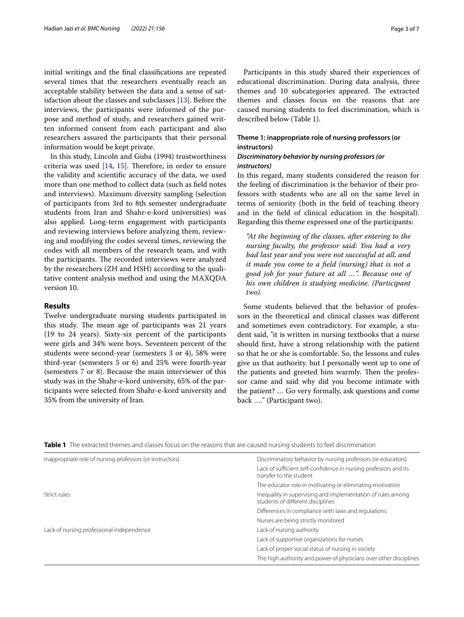initial writings and the fnal classifcations are repeated several times that the researchers eventually reach an acceptable stability between the data and a sense of satisfaction about the classes and subclasses [[13](#page-6-8)]. Before the interviews, the participants were informed of the purpose and method of study, and researchers gained written informed consent from each participant and also researchers assured the participants that their personal information would be kept private.

In this study, Lincoln and Guba (1994) trustworthiness criteria was used  $[14, 15]$  $[14, 15]$  $[14, 15]$ . Therefore, in order to ensure the validity and scientifc accuracy of the data, we used more than one method to collect data (such as feld notes and interviews). Maximum diversity sampling (selection of participants from 3rd to 8th semester undergraduate students from Iran and Shahr-e-kord universities) was also applied. Long-term engagement with participants and reviewing interviews before analyzing them, reviewing and modifying the codes several times, reviewing the codes with all members of the research team, and with the participants. The recorded interviews were analyzed by the researchers (ZH and HSH) according to the qualitative content analysis method and using the MAXQDA version 10.

#### **Results**

Twelve undergraduate nursing students participated in this study. The mean age of participants was 21 years (19 to 24 years). Sixty-six percent of the participants were girls and 34% were boys. Seventeen percent of the students were second-year (semesters 3 or 4), 58% were third-year (semesters 5 or 6) and 25% were fourth-year (semesters 7 or 8). Because the main interviewer of this study was in the Shahr-e-kord university, 65% of the participants were selected from Shahr-e-kord university and 35% from the university of Iran.

Participants in this study shared their experiences of educational discrimination. During data analysis, three themes and 10 subcategories appeared. The extracted themes and classes focus on the reasons that are caused nursing students to feel discrimination, which is described below (Table [1](#page-2-0)).

# **Theme 1: inappropriate role of nursing professors (or instructors)**

# *Discriminatory behavior by nursing professors (or instructors)*

In this regard, many students considered the reason for the feeling of discrimination is the behavior of their professors with students who are all on the same level in terms of seniority (both in the feld of teaching theory and in the feld of clinical education in the hospital). Regarding this theme expressed one of the participants:

*"At the beginning of the classes, after entering to the nursing faculty, the professor said: You had a very bad last year and you were not successful at all, and it made you come to a feld (nursing) that is not a good job for your future at all …". Because one of his own children is studying medicine. (Participant two).*

Some students believed that the behavior of professors in the theoretical and clinical classes was diferent and sometimes even contradictory. For example, a student said, "it is written in nursing textbooks that a nurse should frst, have a strong relationship with the patient so that he or she is comfortable. So, the lessons and rules give us that authority. but I personally went up to one of the patients and greeted him warmly. Then the professor came and said why did you become intimate with the patient? … Go very formally, ask questions and come back …." (Participant two).

<span id="page-2-0"></span>

| Inappropriate role of nursing professors (or instructors) | Discriminatory behavior by nursing professors (or educators)                                     |
|-----------------------------------------------------------|--------------------------------------------------------------------------------------------------|
|                                                           | Lack of sufficient self-confidence in nursing professors and its<br>transfer to the student      |
|                                                           | The educator role in motivating or eliminating motivation                                        |
| Strict rules                                              | Inequality in supervising and implementation of rules among<br>students of different disciplines |
|                                                           | Differences in compliance with laws and regulations                                              |
|                                                           | Nurses are being strictly monitored                                                              |
| Lack of nursing professional independence                 | Lack of nursing authority                                                                        |
|                                                           | Lack of supportive organizations for nurses                                                      |
|                                                           | Lack of proper social status of nursing in society                                               |
|                                                           | The high authority and power of physicians over other disciplines                                |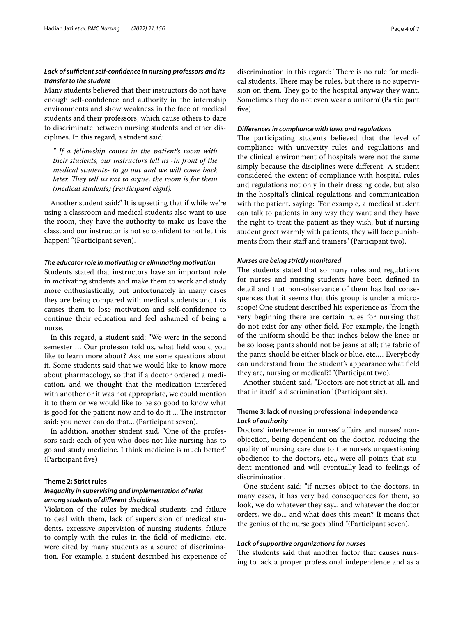# Lack of sufficient self-confidence in nursing professors and its *transfer to the student*

Many students believed that their instructors do not have enough self-confdence and authority in the internship environments and show weakness in the face of medical students and their professors, which cause others to dare to discriminate between nursing students and other disciplines. In this regard, a student said:

*" If a fellowship comes in the patient's room with their students, our instructors tell us -in front of the medical students- to go out and we will come back later. They tell us not to argue, the room is for them (medical students) (Participant eight).*

Another student said:" It is upsetting that if while we're using a classroom and medical students also want to use the room, they have the authority to make us leave the class, and our instructor is not so confdent to not let this happen! "(Participant seven).

#### *The educator role in motivating or eliminating motivation*

Students stated that instructors have an important role in motivating students and make them to work and study more enthusiastically, but unfortunately in many cases they are being compared with medical students and this causes them to lose motivation and self-confdence to continue their education and feel ashamed of being a nurse.

In this regard, a student said: "We were in the second semester … Our professor told us, what feld would you like to learn more about? Ask me some questions about it. Some students said that we would like to know more about pharmacology, so that if a doctor ordered a medication, and we thought that the medication interfered with another or it was not appropriate, we could mention it to them or we would like to be so good to know what is good for the patient now and to do it ... The instructor said: you never can do that... (Participant seven).

In addition, another student said, "One of the professors said: each of you who does not like nursing has to go and study medicine. I think medicine is much better!' (Participant fve**)**

## **Theme 2: Strict rules**

# *Inequality in supervising and implementation of rules among students of diferent disciplines*

Violation of the rules by medical students and failure to deal with them, lack of supervision of medical students, excessive supervision of nursing students, failure to comply with the rules in the feld of medicine, etc. were cited by many students as a source of discrimination. For example, a student described his experience of discrimination in this regard: "There is no rule for medical students. There may be rules, but there is no supervision on them. They go to the hospital anyway they want. Sometimes they do not even wear a uniform"(Participant five).

#### *Diferences in compliance with laws and regulations*

The participating students believed that the level of compliance with university rules and regulations and the clinical environment of hospitals were not the same simply because the disciplines were diferent. A student considered the extent of compliance with hospital rules and regulations not only in their dressing code, but also in the hospital's clinical regulations and communication with the patient, saying: "For example, a medical student can talk to patients in any way they want and they have the right to treat the patient as they wish, but if nursing student greet warmly with patients, they will face punishments from their staff and trainers" (Participant two).

#### *Nurses are being strictly monitored*

The students stated that so many rules and regulations for nurses and nursing students have been defned in detail and that non-observance of them has bad consequences that it seems that this group is under a microscope! One student described his experience as "from the very beginning there are certain rules for nursing that do not exist for any other feld. For example, the length of the uniform should be that inches below the knee or be so loose; pants should not be jeans at all; the fabric of the pants should be either black or blue, etc.… Everybody can understand from the student's appearance what feld they are, nursing or medical?! "(Participant two).

Another student said, "Doctors are not strict at all, and that in itself is discrimination" (Participant six).

# **Theme 3: lack of nursing professional independence** *Lack of authority*

Doctors' interference in nurses' afairs and nurses' nonobjection, being dependent on the doctor, reducing the quality of nursing care due to the nurse's unquestioning obedience to the doctors, etc., were all points that student mentioned and will eventually lead to feelings of discrimination.

One student said: "if nurses object to the doctors, in many cases, it has very bad consequences for them, so look, we do whatever they say... and whatever the doctor orders, we do... and what does this mean? It means that the genius of the nurse goes blind "(Participant seven).

#### *Lack of supportive organizations for nurses*

The students said that another factor that causes nursing to lack a proper professional independence and as a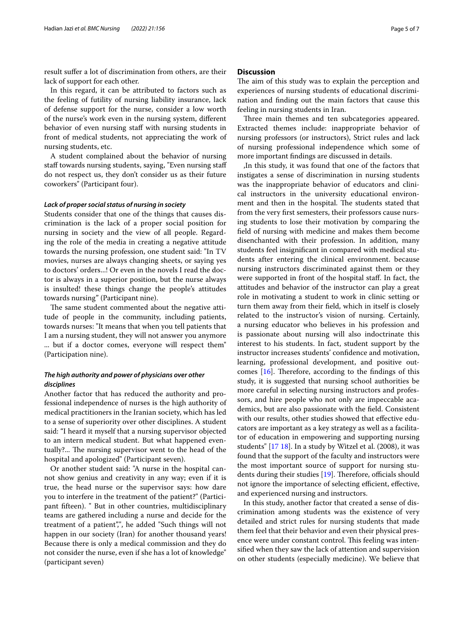result sufer a lot of discrimination from others, are their lack of support for each other.

In this regard, it can be attributed to factors such as the feeling of futility of nursing liability insurance, lack of defense support for the nurse, consider a low worth of the nurse's work even in the nursing system, diferent behavior of even nursing staff with nursing students in front of medical students, not appreciating the work of nursing students, etc.

A student complained about the behavior of nursing staff towards nursing students, saying, "Even nursing staff do not respect us, they don't consider us as their future coworkers" (Participant four).

#### *Lack of proper social status of nursing in society*

Students consider that one of the things that causes discrimination is the lack of a proper social position for nursing in society and the view of all people. Regarding the role of the media in creating a negative attitude towards the nursing profession, one student said: "In TV movies, nurses are always changing sheets, or saying yes to doctors' orders...! Or even in the novels I read the doctor is always in a superior position, but the nurse always is insulted! these things change the people's attitudes towards nursing" (Participant nine).

The same student commented about the negative attitude of people in the community, including patients, towards nurses: "It means that when you tell patients that I am a nursing student, they will not answer you anymore ... but if a doctor comes, everyone will respect them" (Participation nine).

# *The high authority and power of physicians over other disciplines*

Another factor that has reduced the authority and professional independence of nurses is the high authority of medical practitioners in the Iranian society, which has led to a sense of superiority over other disciplines. A student said: "I heard it myself that a nursing supervisor objected to an intern medical student. But what happened eventually?... The nursing supervisor went to the head of the hospital and apologized" (Participant seven).

Or another student said: "A nurse in the hospital cannot show genius and creativity in any way; even if it is true, the head nurse or the supervisor says: how dare you to interfere in the treatment of the patient?" (Participant ffteen). " But in other countries, multidisciplinary teams are gathered including a nurse and decide for the treatment of a patient",", he added "Such things will not happen in our society (Iran) for another thousand years! Because there is only a medical commission and they do not consider the nurse, even if she has a lot of knowledge" (participant seven)

#### **Discussion**

The aim of this study was to explain the perception and experiences of nursing students of educational discrimination and fnding out the main factors that cause this feeling in nursing students in Iran.

Three main themes and ten subcategories appeared. Extracted themes include: inappropriate behavior of nursing professors (or instructors), Strict rules and lack of nursing professional independence which some of more important fndings are discussed in details.

,In this study, it was found that one of the factors that instigates a sense of discrimination in nursing students was the inappropriate behavior of educators and clinical instructors in the university educational environment and then in the hospital. The students stated that from the very frst semesters, their professors cause nursing students to lose their motivation by comparing the feld of nursing with medicine and makes them become disenchanted with their profession. In addition, many students feel insignifcant in compared with medical students after entering the clinical environment. because nursing instructors discriminated against them or they were supported in front of the hospital staff. In fact, the attitudes and behavior of the instructor can play a great role in motivating a student to work in clinic setting or turn them away from their feld, which in itself is closely related to the instructor's vision of nursing. Certainly, a nursing educator who believes in his profession and is passionate about nursing will also indoctrinate this interest to his students. In fact, student support by the instructor increases students' confdence and motivation, learning, professional development, and positive outcomes  $[16]$  $[16]$ . Therefore, according to the findings of this study, it is suggested that nursing school authorities be more careful in selecting nursing instructors and professors, and hire people who not only are impeccable academics, but are also passionate with the feld. Consistent with our results, other studies showed that effective educators are important as a key strategy as well as a facilitator of education in empowering and supporting nursing students" [\[17](#page-6-12) [18](#page-6-13)]. In a study by Witzel et al. (2008), it was found that the support of the faculty and instructors were the most important source of support for nursing students during their studies  $[19]$  $[19]$ . Therefore, officials should not ignore the importance of selecting efficient, effective, and experienced nursing and instructors.

In this study, another factor that created a sense of discrimination among students was the existence of very detailed and strict rules for nursing students that made them feel that their behavior and even their physical presence were under constant control. This feeling was intensifed when they saw the lack of attention and supervision on other students (especially medicine). We believe that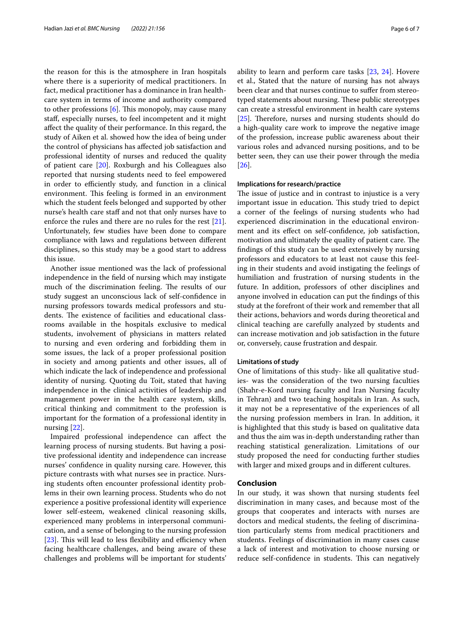the reason for this is the atmosphere in Iran hospitals where there is a superiority of medical practitioners. In fact, medical practitioner has a dominance in Iran healthcare system in terms of income and authority compared to other professions  $[6]$  $[6]$ . This monopoly, may cause many staf, especially nurses, to feel incompetent and it might afect the quality of their performance. In this regard, the study of Aiken et al. showed how the idea of being under the control of physicians has afected job satisfaction and professional identity of nurses and reduced the quality of patient care [\[20](#page-6-15)]. Roxburgh and his Colleagues also reported that nursing students need to feel empowered in order to efficiently study, and function in a clinical environment. This feeling is formed in an environment which the student feels belonged and supported by other nurse's health care staff and not that only nurses have to enforce the rules and there are no rules for the rest [\[21](#page-6-16)]. Unfortunately, few studies have been done to compare compliance with laws and regulations between diferent disciplines, so this study may be a good start to address this issue.

Another issue mentioned was the lack of professional independence in the feld of nursing which may instigate much of the discrimination feeling. The results of our study suggest an unconscious lack of self-confdence in nursing professors towards medical professors and students. The existence of facilities and educational classrooms available in the hospitals exclusive to medical students, involvement of physicians in matters related to nursing and even ordering and forbidding them in some issues, the lack of a proper professional position in society and among patients and other issues, all of which indicate the lack of independence and professional identity of nursing. Quoting du Toit, stated that having independence in the clinical activities of leadership and management power in the health care system, skills, critical thinking and commitment to the profession is important for the formation of a professional identity in nursing [\[22](#page-6-17)].

Impaired professional independence can afect the learning process of nursing students. But having a positive professional identity and independence can increase nurses' confdence in quality nursing care. However, this picture contrasts with what nurses see in practice. Nursing students often encounter professional identity problems in their own learning process. Students who do not experience a positive professional identity will experience lower self-esteem, weakened clinical reasoning skills, experienced many problems in interpersonal communication, and a sense of belonging to the nursing profession [ $23$ ]. This will lead to less flexibility and efficiency when facing healthcare challenges, and being aware of these challenges and problems will be important for students' ability to learn and perform care tasks [\[23](#page-6-18), [24\]](#page-6-19). Hovere et al., Stated that the nature of nursing has not always been clear and that nurses continue to sufer from stereotyped statements about nursing. These public stereotypes can create a stressful environment in health care systems [[25\]](#page-6-20). Therefore, nurses and nursing students should do a high-quality care work to improve the negative image of the profession, increase public awareness about their various roles and advanced nursing positions, and to be better seen, they can use their power through the media [[26\]](#page-6-21).

#### **Implications for research/practice**

The issue of justice and in contrast to injustice is a very important issue in education. This study tried to depict a corner of the feelings of nursing students who had experienced discrimination in the educational environment and its efect on self-confdence, job satisfaction, motivation and ultimately the quality of patient care. The fndings of this study can be used extensively by nursing professors and educators to at least not cause this feeling in their students and avoid instigating the feelings of humiliation and frustration of nursing students in the future. In addition, professors of other disciplines and anyone involved in education can put the fndings of this study at the forefront of their work and remember that all their actions, behaviors and words during theoretical and clinical teaching are carefully analyzed by students and can increase motivation and job satisfaction in the future or, conversely, cause frustration and despair.

#### **Limitations of study**

One of limitations of this study- like all qualitative studies- was the consideration of the two nursing faculties (Shahr-e-Kord nursing faculty and Iran Nursing faculty in Tehran) and two teaching hospitals in Iran. As such, it may not be a representative of the experiences of all the nursing profession members in Iran. In addition, it is highlighted that this study is based on qualitative data and thus the aim was in-depth understanding rather than reaching statistical generalization. Limitations of our study proposed the need for conducting further studies with larger and mixed groups and in diferent cultures.

#### **Conclusion**

In our study, it was shown that nursing students feel discrimination in many cases, and because most of the groups that cooperates and interacts with nurses are doctors and medical students, the feeling of discrimination particularly stems from medical practitioners and students. Feelings of discrimination in many cases cause a lack of interest and motivation to choose nursing or reduce self-confidence in students. This can negatively